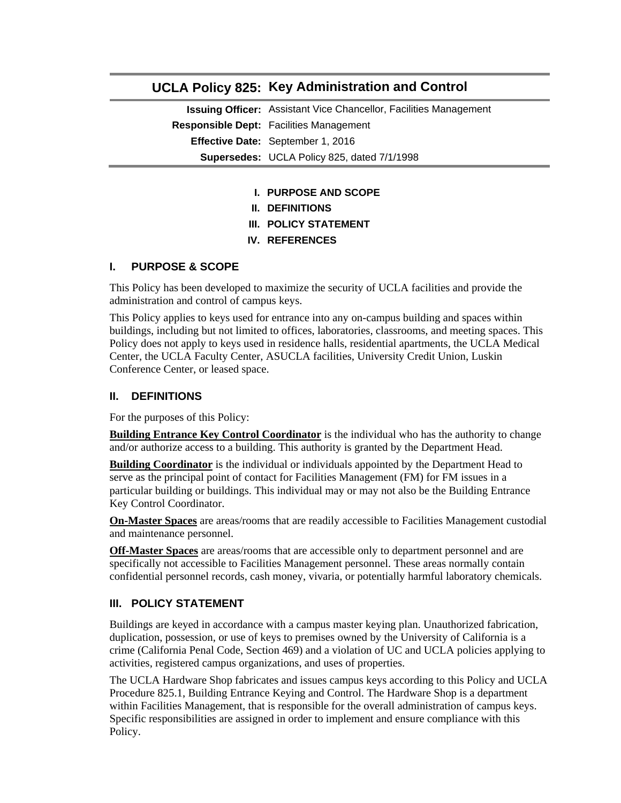# **UCLA Policy 825: Key Administration and Control**

**Issuing Officer:** Assistant Vice Chancellor, Facilities Management **Responsible Dept:** Facilities Management **Effective Date:** September 1, 2016 **Supersedes:** UCLA Policy 825, dated 7/1/1998

- **I. PURPOSE AND SCOPE**
- **II. DEFINITIONS**
- **III. POLICY STATEMENT**
- **IV. REFERENCES**

#### **I. PURPOSE & SCOPE**

This Policy has been developed to maximize the security of UCLA facilities and provide the administration and control of campus keys.

This Policy applies to keys used for entrance into any on-campus building and spaces within buildings, including but not limited to offices, laboratories, classrooms, and meeting spaces. This Policy does not apply to keys used in residence halls, residential apartments, the UCLA Medical Center, the UCLA Faculty Center, ASUCLA facilities, University Credit Union, Luskin Conference Center, or leased space.

# **II. DEFINITIONS**

For the purposes of this Policy:

**Building Entrance Key Control Coordinator** is the individual who has the authority to change and/or authorize access to a building. This authority is granted by the Department Head.

**Building Coordinator** is the individual or individuals appointed by the Department Head to serve as the principal point of contact for Facilities Management (FM) for FM issues in a particular building or buildings. This individual may or may not also be the Building Entrance Key Control Coordinator.

**On-Master Spaces** are areas/rooms that are readily accessible to Facilities Management custodial and maintenance personnel.

**Off-Master Spaces** are areas/rooms that are accessible only to department personnel and are specifically not accessible to Facilities Management personnel. These areas normally contain confidential personnel records, cash money, vivaria, or potentially harmful laboratory chemicals.

### **III. POLICY STATEMENT**

Buildings are keyed in accordance with a campus master keying plan. Unauthorized fabrication, duplication, possession, or use of keys to premises owned by the University of California is a crime (California Penal Code, Section 469) and a violation of UC and UCLA policies applying to activities, registered campus organizations, and uses of properties.

The UCLA Hardware Shop fabricates and issues campus keys according to this Policy and UCLA Procedure 825.1, Building Entrance Keying and Control. The Hardware Shop is a department within Facilities Management, that is responsible for the overall administration of campus keys. Specific responsibilities are assigned in order to implement and ensure compliance with this Policy.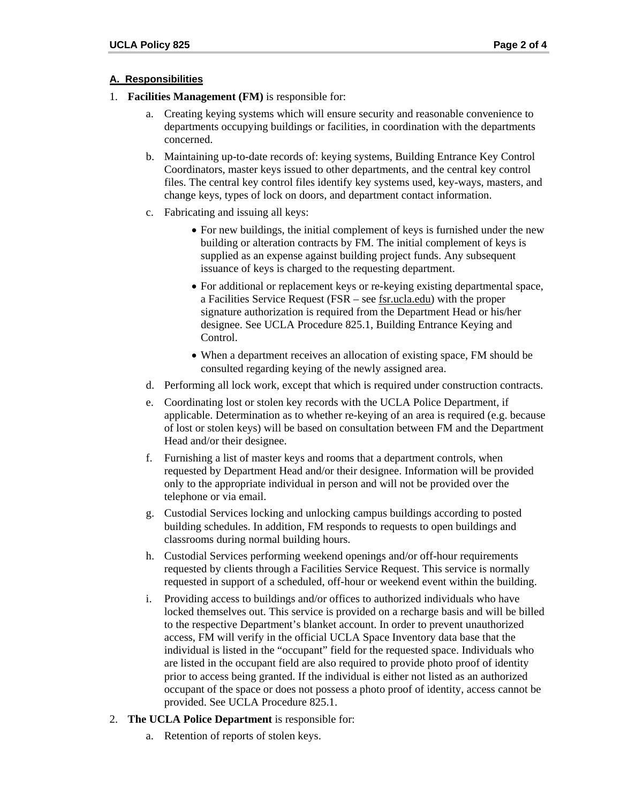### **A. Responsibilities**

- 1. **Facilities Management (FM)** is responsible for:
	- a. Creating keying systems which will ensure security and reasonable convenience to departments occupying buildings or facilities, in coordination with the departments concerned.
	- b. Maintaining up-to-date records of: keying systems, Building Entrance Key Control Coordinators, master keys issued to other departments, and the central key control files. The central key control files identify key systems used, key-ways, masters, and change keys, types of lock on doors, and department contact information.
	- c. Fabricating and issuing all keys:
		- For new buildings, the initial complement of keys is furnished under the new building or alteration contracts by FM. The initial complement of keys is supplied as an expense against building project funds. Any subsequent issuance of keys is charged to the requesting department.
		- For additional or replacement keys or re-keying existing departmental space, a Facilities Service Request (FSR – see fsr.ucla.edu) with the proper signature authorization is required from the Department Head or his/her designee. See UCLA Procedure 825.1, Building Entrance Keying and Control.
		- When a department receives an allocation of existing space, FM should be consulted regarding keying of the newly assigned area.
	- d. Performing all lock work, except that which is required under construction contracts.
	- e. Coordinating lost or stolen key records with the UCLA Police Department, if applicable. Determination as to whether re-keying of an area is required (e.g. because of lost or stolen keys) will be based on consultation between FM and the Department Head and/or their designee.
	- f. Furnishing a list of master keys and rooms that a department controls, when requested by Department Head and/or their designee. Information will be provided only to the appropriate individual in person and will not be provided over the telephone or via email.
	- g. Custodial Services locking and unlocking campus buildings according to posted building schedules. In addition, FM responds to requests to open buildings and classrooms during normal building hours.
	- h. Custodial Services performing weekend openings and/or off-hour requirements requested by clients through a Facilities Service Request. This service is normally requested in support of a scheduled, off-hour or weekend event within the building.
	- i. Providing access to buildings and/or offices to authorized individuals who have locked themselves out. This service is provided on a recharge basis and will be billed to the respective Department's blanket account. In order to prevent unauthorized access, FM will verify in the official UCLA Space Inventory data base that the individual is listed in the "occupant" field for the requested space. Individuals who are listed in the occupant field are also required to provide photo proof of identity prior to access being granted. If the individual is either not listed as an authorized occupant of the space or does not possess a photo proof of identity, access cannot be provided. See UCLA Procedure 825.1.
- 2. **The UCLA Police Department** is responsible for:
	- a. Retention of reports of stolen keys.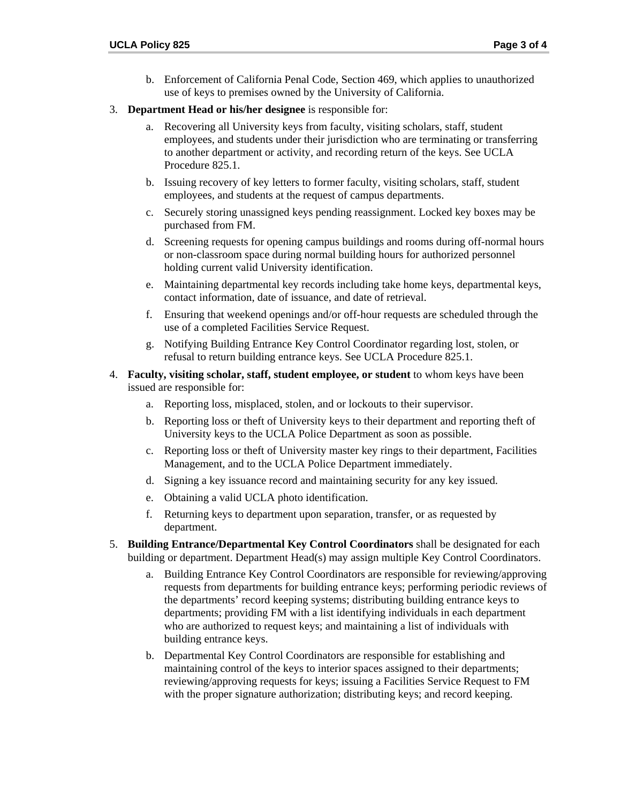- b. Enforcement of California Penal Code, Section 469, which applies to unauthorized use of keys to premises owned by the University of California.
- 3. **Department Head or his/her designee** is responsible for:
	- a. Recovering all University keys from faculty, visiting scholars, staff, student employees, and students under their jurisdiction who are terminating or transferring to another department or activity, and recording return of the keys. See UCLA Procedure 825.1.
	- b. Issuing recovery of key letters to former faculty, visiting scholars, staff, student employees, and students at the request of campus departments.
	- c. Securely storing unassigned keys pending reassignment. Locked key boxes may be purchased from FM.
	- d. Screening requests for opening campus buildings and rooms during off-normal hours or non-classroom space during normal building hours for authorized personnel holding current valid University identification.
	- e. Maintaining departmental key records including take home keys, departmental keys, contact information, date of issuance, and date of retrieval.
	- f. Ensuring that weekend openings and/or off-hour requests are scheduled through the use of a completed Facilities Service Request.
	- g. Notifying Building Entrance Key Control Coordinator regarding lost, stolen, or refusal to return building entrance keys. See UCLA Procedure 825.1.
- 4. **Faculty, visiting scholar, staff, student employee, or student** to whom keys have been issued are responsible for:
	- a. Reporting loss, misplaced, stolen, and or lockouts to their supervisor.
	- b. Reporting loss or theft of University keys to their department and reporting theft of University keys to the UCLA Police Department as soon as possible.
	- c. Reporting loss or theft of University master key rings to their department, Facilities Management, and to the UCLA Police Department immediately.
	- d. Signing a key issuance record and maintaining security for any key issued.
	- e. Obtaining a valid UCLA photo identification.
	- f. Returning keys to department upon separation, transfer, or as requested by department.
- 5. **Building Entrance/Departmental Key Control Coordinators** shall be designated for each building or department. Department Head(s) may assign multiple Key Control Coordinators.
	- a. Building Entrance Key Control Coordinators are responsible for reviewing/approving requests from departments for building entrance keys; performing periodic reviews of the departments' record keeping systems; distributing building entrance keys to departments; providing FM with a list identifying individuals in each department who are authorized to request keys; and maintaining a list of individuals with building entrance keys.
	- b. Departmental Key Control Coordinators are responsible for establishing and maintaining control of the keys to interior spaces assigned to their departments; reviewing/approving requests for keys; issuing a Facilities Service Request to FM with the proper signature authorization; distributing keys; and record keeping.